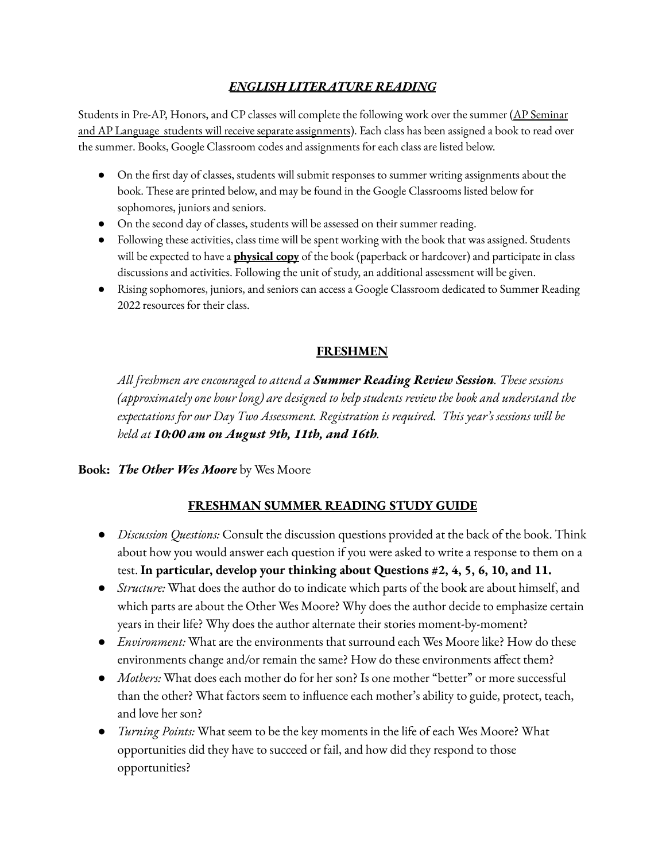# *ENGLISH LITERATURE READING*

Students in Pre-AP, Honors, and CP classes will complete the following work over the summer (AP Seminar and AP Language students will receive separate assignments). Each class has been assigned a book to read over the summer. Books, Google Classroom codes and assignments for each class are listed below.

- On the first day of classes, students will submit responses to summer writing assignments about the book. These are printed below, and may be found in the Google Classrooms listed below for sophomores, juniors and seniors.
- On the second day of classes, students will be assessed on their summer reading.
- Following these activities, class time will be spent working with the book that was assigned. Students will be expected to have a **physical copy** of the book (paperback or hardcover) and participate in class discussions and activities. Following the unit of study, an additional assessment will be given.
- Rising sophomores, juniors, and seniors can access a Google Classroom dedicated to Summer Reading 2022 resources for their class.

## **FRESHMEN**

*All freshmen are encouraged to attend a Summer Reading Review Session. These sessions (approximately one hour long) are designed to help students review the book and understand the expectations for our Day Two Assessment. Registration is required. This year's sessions will be held at 10:00 am on August 9th, 11th, and 16th.*

**Book:** *The Other Wes Moore* by Wes Moore

# **FRESHMAN SUMMER READING STUDY GUIDE**

- *Discussion Questions:* Consult the discussion questions provided at the back of the book. Think about how you would answer each question if you were asked to write a response to them on a test. **In particular, develop your thinking about Questions #2, 4, 5, 6, 10, and 11.**
- *Structure:* What does the author do to indicate which parts of the book are about himself, and which parts are about the Other Wes Moore? Why does the author decide to emphasize certain years in their life? Why does the author alternate their stories moment-by-moment?
- *● Environment:* What are the environments that surround each Wes Moore like? How do these environments change and/or remain the same? How do these environments affect them?
- *● Mothers:* What does each mother do for her son? Is one mother "better" or more successful than the other? What factors seem to influence each mother's ability to guide, protect, teach, and love her son?
- *● Turning Points:* What seem to be the key moments in the life of each Wes Moore? What opportunities did they have to succeed or fail, and how did they respond to those opportunities?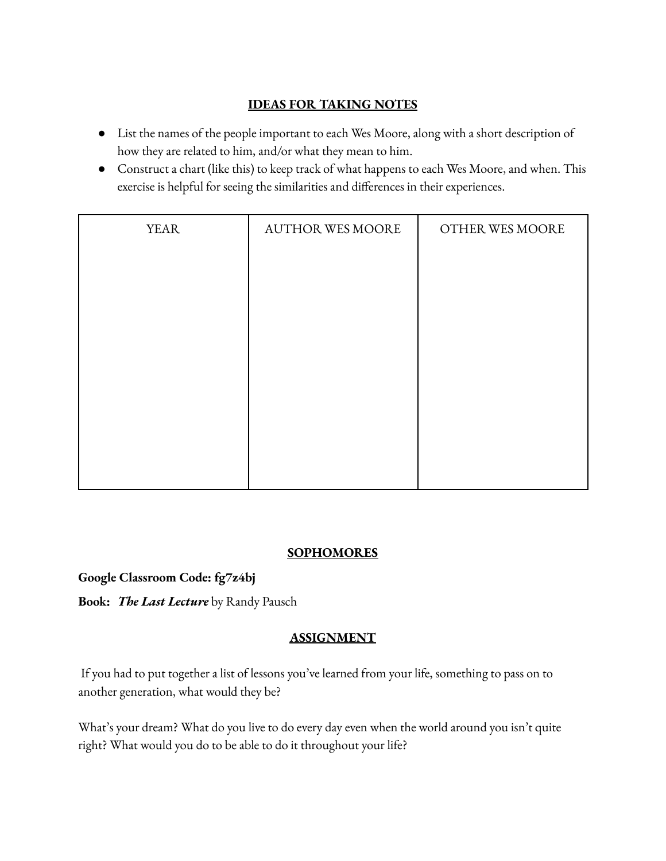## **IDEAS FOR TAKING NOTES**

- List the names of the people important to each Wes Moore, along with a short description of how they are related to him, and/or what they mean to him.
- Construct a chart (like this) to keep track of what happens to each Wes Moore, and when. This exercise is helpful for seeing the similarities and differences in their experiences.

| <b>YEAR</b> | <b>AUTHOR WES MOORE</b> | OTHER WES MOORE |
|-------------|-------------------------|-----------------|
|             |                         |                 |
|             |                         |                 |
|             |                         |                 |
|             |                         |                 |
|             |                         |                 |
|             |                         |                 |
|             |                         |                 |
|             |                         |                 |

## **SOPHOMORES**

#### **Google Classroom Code: fg7z4bj**

**Book:** *The Last Lecture* by Randy Pausch

## **ASSIGNMENT**

If you had to put together a list of lessons you've learned from your life, something to pass on to another generation, what would they be?

What's your dream? What do you live to do every day even when the world around you isn't quite right? What would you do to be able to do it throughout your life?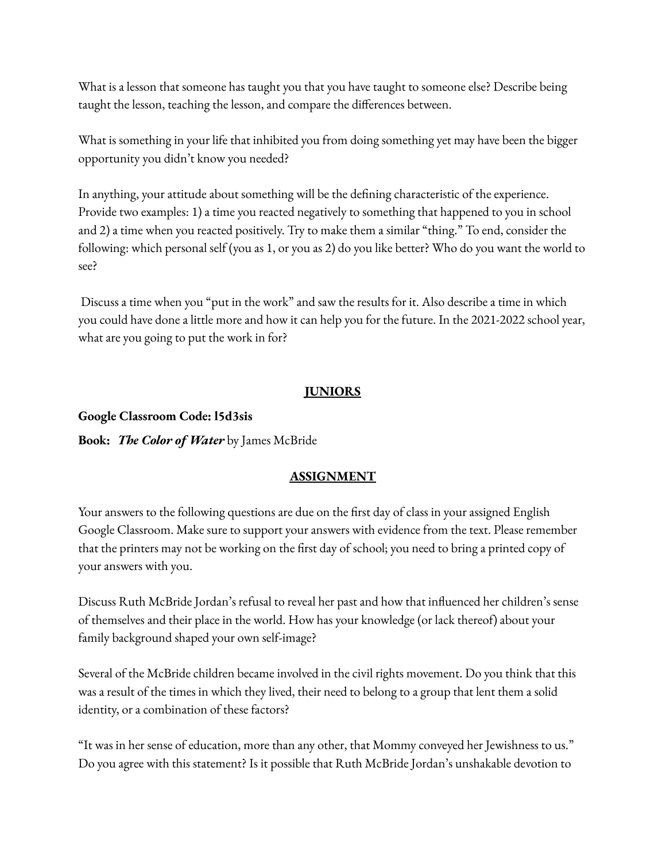What is a lesson that someone has taught you that you have taught to someone else? Describe being taught the lesson, teaching the lesson, and compare the differences between.

What is something in your life that inhibited you from doing something yet may have been the bigger opportunity you didn't know you needed?

In anything, your attitude about something will be the defining characteristic of the experience. Provide two examples: 1) a time you reacted negatively to something that happened to you in school and 2) a time when you reacted positively. Try to make them a similar "thing." To end, consider the following: which personal self (you as 1, or you as 2) do you like better? Who do you want the world to see?

Discuss a time when you "put in the work" and saw the results for it. Also describe a time in which you could have done a little more and how it can help you for the future. In the 2021-2022 school year, what are you going to put the work in for?

#### **JUNIORS**

#### **Google Classroom Code: l5d3sis**

**Book:** *The Color of Water* by James McBride

#### **ASSIGNMENT**

Your answers to the following questions are due on the first day of class in your assigned English Google Classroom. Make sure to support your answers with evidence from the text. Please remember that the printers may not be working on the first day of school; you need to bring a printed copy of your answers with you.

Discuss Ruth McBride Jordan's refusal to reveal her past and how that influenced her children's sense of themselves and their place in the world. How has your knowledge (or lack thereof) about your family background shaped your own self-image?

Several of the McBride children became involved in the civil rights movement. Do you think that this was a result of the times in which they lived, their need to belong to a group that lent them a solid identity, or a combination of these factors?

"It was in her sense of education, more than any other, that Mommy conveyed her Jewishness to us." Do you agree with this statement? Is it possible that Ruth McBride Jordan's unshakable devotion to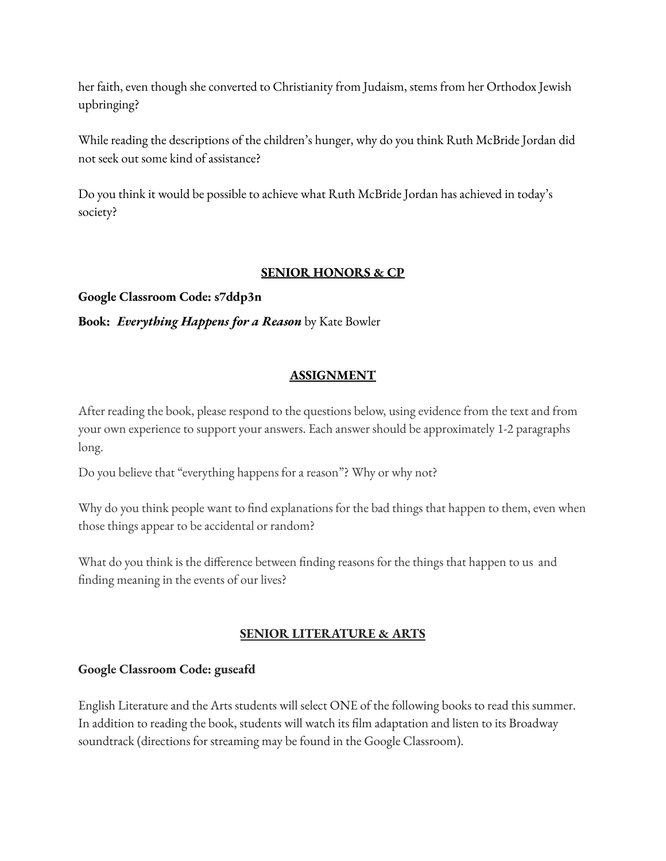her faith, even though she converted to Christianity from Judaism, stems from her Orthodox Jewish upbringing?

While reading the descriptions of the children's hunger, why do you think Ruth McBride Jordan did not seek out some kind of assistance?

Do you think it would be possible to achieve what Ruth McBride Jordan has achieved in today's society?

## **SENIOR HONORS & CP**

**Google Classroom Code: s7ddp3n**

**Book:** *Everything Happens for a Reason* by Kate Bowler

## **ASSIGNMENT**

After reading the book, please respond to the questions below, using evidence from the text and from your own experience to support your answers. Each answer should be approximately 1-2 paragraphs long.

Do you believe that "everything happens for a reason"? Why or why not?

Why do you think people want to find explanations for the bad things that happen to them, even when those things appear to be accidental or random?

What do you think is the difference between finding reasons for the things that happen to us and finding meaning in the events of our lives?

# **SENIOR LITERATURE & ARTS**

#### **Google Classroom Code: guseafd**

English Literature and the Arts students will select ONE of the following books to read this summer. In addition to reading the book, students will watch its film adaptation and listen to its Broadway soundtrack (directions for streaming may be found in the Google Classroom).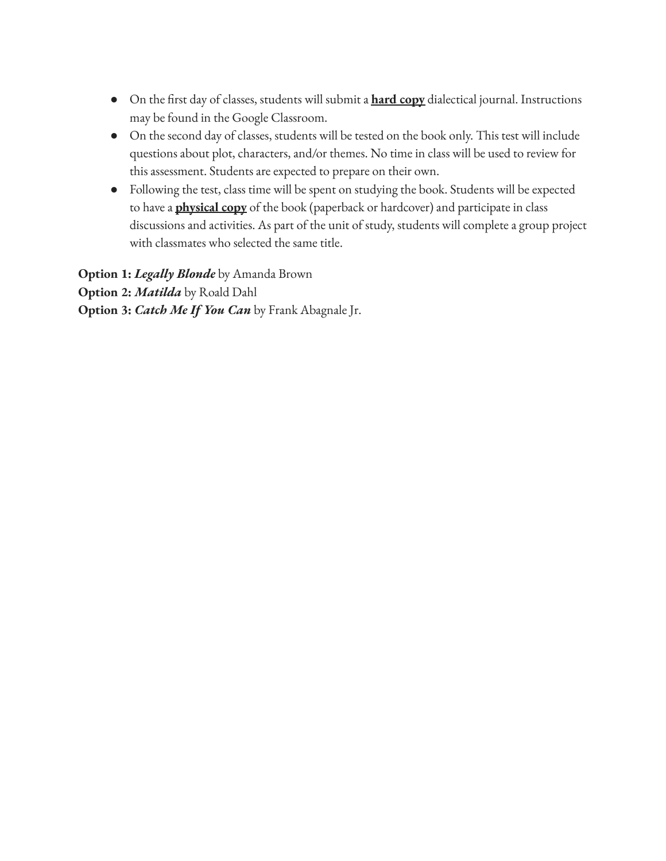- On the first day of classes, students will submit a **hard copy** dialectical journal. Instructions may be found in the Google Classroom.
- On the second day of classes, students will be tested on the book only. This test will include questions about plot, characters, and/or themes. No time in class will be used to review for this assessment. Students are expected to prepare on their own.
- Following the test, class time will be spent on studying the book. Students will be expected to have a **physical copy** of the book (paperback or hardcover) and participate in class discussions and activities. As part of the unit of study, students will complete a group project with classmates who selected the same title.

**Option 1:** *Legally Blonde* by Amanda Brown **Option 2:** *Matilda* by Roald Dahl **Option 3:** *Catch Me If You Can* by Frank Abagnale Jr.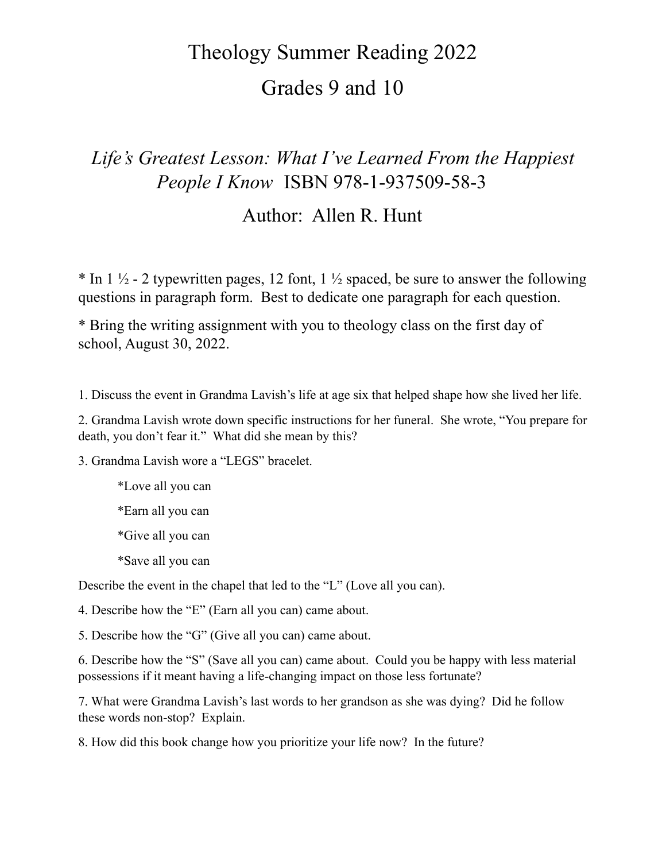# Theology Summer Reading 2022

# Grades 9 and 10

# *Life's Greatest Lesson: What I've Learned From the Happiest People I Know* ISBN 978-1-937509-58-3

# Author: Allen R. Hunt

\* In 1  $\frac{1}{2}$  - 2 typewritten pages, 12 font, 1  $\frac{1}{2}$  spaced, be sure to answer the following questions in paragraph form. Best to dedicate one paragraph for each question.

\* Bring the writing assignment with you to theology class on the first day of school, August 30, 2022.

1. Discuss the event in Grandma Lavish's life at age six that helped shape how she lived her life.

2. Grandma Lavish wrote down specific instructions for her funeral. She wrote, "You prepare for death, you don't fear it." What did she mean by this?

3. Grandma Lavish wore a "LEGS" bracelet.

- \*Love all you can
- \*Earn all you can
- \*Give all you can
- \*Save all you can

Describe the event in the chapel that led to the "L" (Love all you can).

4. Describe how the "E" (Earn all you can) came about.

5. Describe how the "G" (Give all you can) came about.

6. Describe how the "S" (Save all you can) came about. Could you be happy with less material possessions if it meant having a life-changing impact on those less fortunate?

7. What were Grandma Lavish's last words to her grandson as she was dying? Did he follow these words non-stop? Explain.

8. How did this book change how you prioritize your life now? In the future?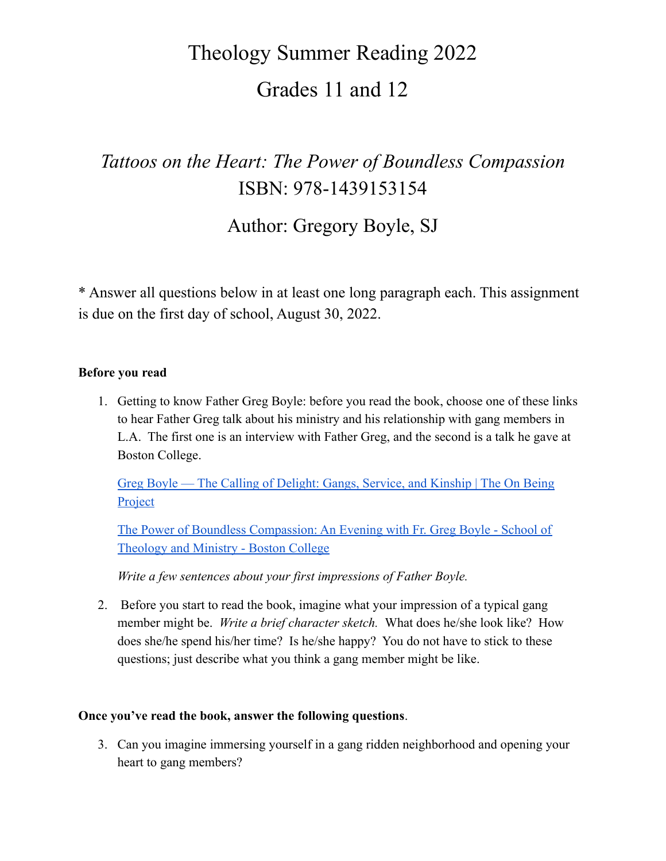# Theology Summer Reading 2022 Grades 11 and 12

# *Tattoos on the Heart: The Power of Boundless Compassion* ISBN: 978-1439153154

Author: Gregory Boyle, SJ

\* Answer all questions below in at least one long paragraph each. This assignment is due on the first day of school, August 30, 2022.

#### **Before you read**

1. Getting to know Father Greg Boyle: before you read the book, choose one of these links to hear Father Greg talk about his ministry and his relationship with gang members in L.A. The first one is an interview with Father Greg, and the second is a talk he gave at Boston College.

[Greg Boyle — The Calling of Delight: Gangs, Service, and Kinship | The On Being](https://onbeing.org/programs/greg-boyle-the-calling-of-delight-gangs-service-and-kinship/) **[Project](https://onbeing.org/programs/greg-boyle-the-calling-of-delight-gangs-service-and-kinship/)** 

[The Power of Boundless Compassion: An Evening with Fr. Greg Boyle - School of](https://www.bc.edu/bc-web/schools/stm/sites/encore/main/2012/Boundless-Compassion.html) [Theology and Ministry - Boston College](https://www.bc.edu/bc-web/schools/stm/sites/encore/main/2012/Boundless-Compassion.html)

*Write a few sentences about your first impressions of Father Boyle.*

2. Before you start to read the book, imagine what your impression of a typical gang member might be. *Write a brief character sketch.* What does he/she look like? How does she/he spend his/her time? Is he/she happy? You do not have to stick to these questions; just describe what you think a gang member might be like.

#### **Once you've read the book, answer the following questions**.

3. Can you imagine immersing yourself in a gang ridden neighborhood and opening your heart to gang members?